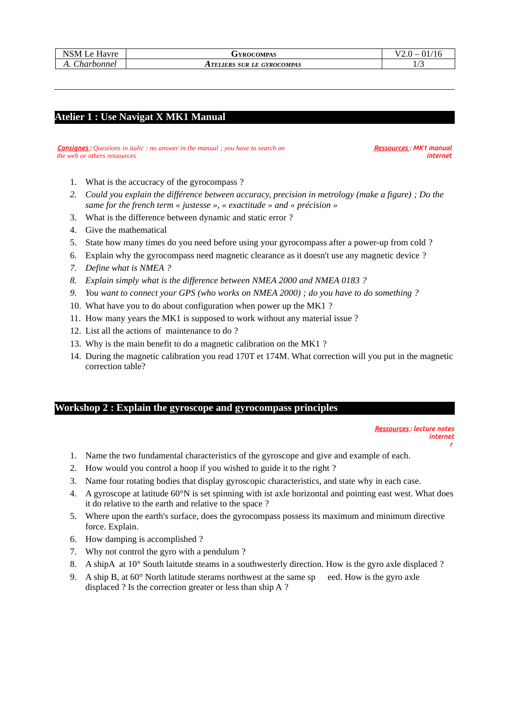| NSM Le Havre | <b>FYROCOMPAS</b>          | ົ 1                |
|--------------|----------------------------|--------------------|
| Charbonnel   | ATELIERS SUR LE GYROCOMPAS | $\sqrt{2}$<br>⊥/ പ |

# **Atelier 1 : Use Navigat X MK1 Manual**

#### *Consignes : Questions in italic : no answer in the manual ; you have to search on the web or others ressources*

 *Ressources : MK1 manual internet*

- 1. What is the accucracy of the gyrocompass ?
- *2. Could you explain the différence between accuracy, precision in metrology (make a figure) ; Do the same for the french term « justesse », « exactitude » and « précision »*
- 3. What is the difference between dynamic and static error ?
- 4. Give the mathematical
- 5. State how many times do you need before using your gyrocompass after a power-up from cold ?
- 6. Explain why the gyrocompass need magnetic clearance as it doesn't use any magnetic device ?
- *7. Define what is NMEA ?*
- *8. Explain simply what is the difference between NMEA 2000 and NMEA 0183 ?*
- *9. You want to connect your GPS (who works on NMEA 2000) ; do you have to do something ?*
- 10. What have you to do about configuration when power up the MK1 ?
- 11. How many years the MK1 is supposed to work without any material issue ?
- 12. List all the actions of maintenance to do ?
- 13. Why is the main benefit to do a magnetic calibration on the MK1 ?
- 14. During the magnetic calibration you read 170T et 174M. What correction will you put in the magnetic correction table?

## **Workshop 2 : Explain the gyroscope and gyrocompass principles**

 *Ressources : lecture notes internet r* 

- 1. Name the two fundamental characteristics of the gyroscope and give and example of each.
- 2. How would you control a hoop if you wished to guide it to the right ?
- 3. Name four rotating bodies that display gyroscopic characteristics, and state why in each case.
- 4. A gyroscope at latitude 60°N is set spinning with ist axle horizontal and pointing east west. What does it do relative to the earth and relative to the space ?
- 5. Where upon the earth's surface, does the gyrocompass possess its maximum and minimum directive force. Explain.
- 6. How damping is accomplished ?
- 7. Why not control the gyro with a pendulum ?
- 8. A shipA at 10° South laitutde steams in a southwesterly direction. How is the gyro axle displaced ?
- 9. A ship B, at 60° North latitude sterams northwest at the same sp eed. How is the gyro axle displaced ? Is the correction greater or less than ship A ?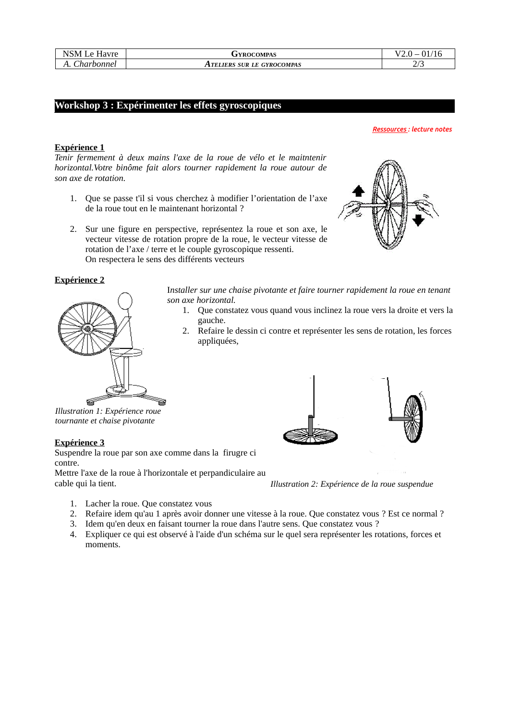| NSM Le Havre | <b>JYROCOMPAS</b>          | 01<br>/16    |
|--------------|----------------------------|--------------|
| Charbonnel   | ATELIERS SUR LE GYROCOMPAS | יו ה<br>ں ہے |

## **Workshop 3 : Expérimenter les effets gyroscopiques**

#### *Ressources : lecture notes*

## **Expérience 1**

*Tenir fermement à deux mains l'axe de la roue de vélo et le maitntenir horizontal.Votre binôme fait alors tourner rapidement la roue autour de son axe de rotation.*

- 1. Que se passe t'il si vous cherchez à modifier l'orientation de l'axe de la roue tout en le maintenant horizontal ?
- 2. Sur une figure en perspective, représentez la roue et son axe, le vecteur vitesse de rotation propre de la roue, le vecteur vitesse de rotation de l'axe / terre et le couple gyroscopique ressenti. On respectera le sens des différents vecteurs

## **Expérience 2**



I*nstaller sur une chaise pivotante et faire tourner rapidement la roue en tenant son axe horizontal.*

- 1. Que constatez vous quand vous inclinez la roue vers la droite et vers la gauche.
- 2. Refaire le dessin ci contre et représenter les sens de rotation, les forces appliquées,

*Illustration 1: Expérience roue tournante et chaise pivotante*

### **Expérience 3**

Suspendre la roue par son axe comme dans la firugre ci contre.

Mettre l'axe de la roue à l'horizontale et perpandiculaire au cable qui la tient.

*Illustration 2: Expérience de la roue suspendue*

- 1. Lacher la roue. Que constatez vous
- 2. Refaire idem qu'au 1 après avoir donner une vitesse à la roue. Que constatez vous ? Est ce normal ?
- 3. Idem qu'en deux en faisant tourner la roue dans l'autre sens. Que constatez vous ?
- 4. Expliquer ce qui est observé à l'aide d'un schéma sur le quel sera représenter les rotations, forces et moments.